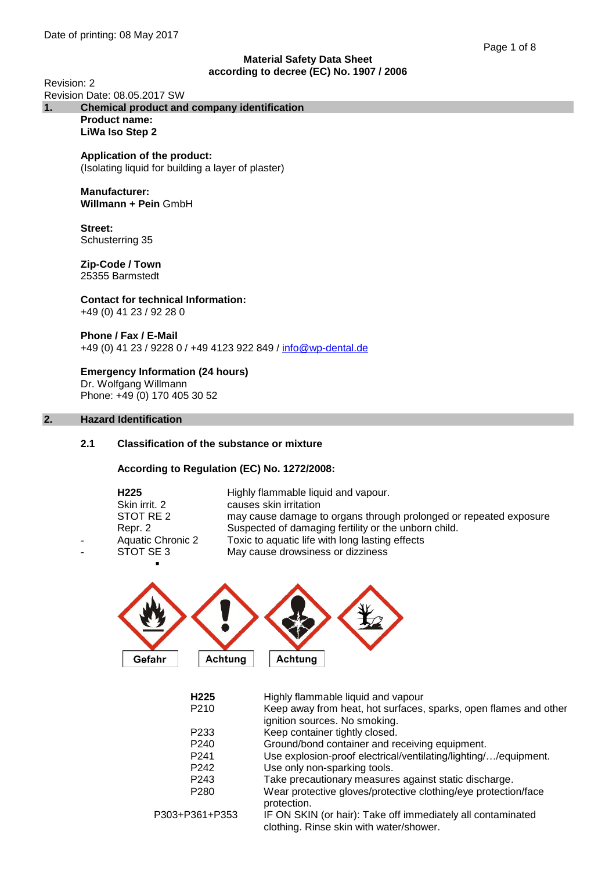Revision: 2

#### Revision Date: 08.05.2017 SW<br>1. Chemical product and **1. Chemical product and company identification Product name:**

**LiWa Iso Step 2**

# **Application of the product:**

(Isolating liquid for building a layer of plaster)

#### **Manufacturer: Willmann + Pein** GmbH

**Street:**  Schusterring 35

#### **Zip-Code / Town** 25355 Barmstedt

#### **Contact for technical Information:** +49 (0) 41 23 / 92 28 0

**Phone / Fax / E-Mail** +49 (0) 41 23 / 9228 0 / +49 4123 922 849 / [info@wp-dental.de](mailto:info@wp-dental.de)

**Emergency Information (24 hours)** Dr. Wolfgang Willmann Phone: +49 (0) 170 405 30 52

# **2. Hazard Identification**

# **2.1 Classification of the substance or mixture**

**According to Regulation (EC) No. 1272/2008:**

| H <sub>225</sub><br>Skin irrit. 2<br>STOT RE 2<br>Repr. 2<br><b>Aquatic Chronic 2</b><br>STOT SE3 | Highly flammable liquid and vapour.<br>causes skin irritation<br>may cause damage to organs through prolonged or repeated exposure<br>Suspected of damaging fertility or the unborn child.<br>Toxic to aquatic life with long lasting effects<br>May cause drowsiness or dizziness |
|---------------------------------------------------------------------------------------------------|------------------------------------------------------------------------------------------------------------------------------------------------------------------------------------------------------------------------------------------------------------------------------------|
|                                                                                                   |                                                                                                                                                                                                                                                                                    |



| H <sub>225</sub>  | Highly flammable liquid and vapour                                                                     |
|-------------------|--------------------------------------------------------------------------------------------------------|
| P <sub>210</sub>  | Keep away from heat, hot surfaces, sparks, open flames and other<br>ignition sources. No smoking.      |
| P <sub>2</sub> 33 | Keep container tightly closed.                                                                         |
| P <sub>240</sub>  | Ground/bond container and receiving equipment.                                                         |
| P <sub>241</sub>  | Use explosion-proof electrical/ventilating/lighting//equipment.                                        |
| P <sub>242</sub>  | Use only non-sparking tools.                                                                           |
| P <sub>243</sub>  | Take precautionary measures against static discharge.                                                  |
| P <sub>280</sub>  | Wear protective gloves/protective clothing/eye protection/face<br>protection.                          |
| P303+P361+P353    | IF ON SKIN (or hair): Take off immediately all contaminated<br>clothing. Rinse skin with water/shower. |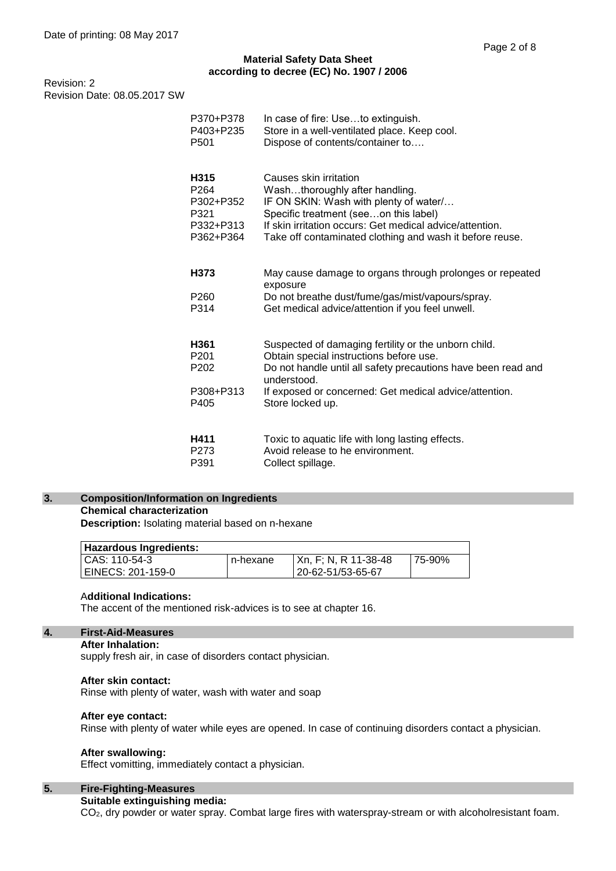Revision: 2 Revision Date: 08.05.2017 SW

| P370+P378                                 | In case of fire: Useto extinguish.                                                                                                                                                                                                                            |
|-------------------------------------------|---------------------------------------------------------------------------------------------------------------------------------------------------------------------------------------------------------------------------------------------------------------|
| P403+P235                                 | Store in a well-ventilated place. Keep cool.                                                                                                                                                                                                                  |
| P501                                      | Dispose of contents/container to                                                                                                                                                                                                                              |
| H315                                      | Causes skin irritation                                                                                                                                                                                                                                        |
| P264                                      | Washthoroughly after handling.                                                                                                                                                                                                                                |
| P302+P352                                 | IF ON SKIN: Wash with plenty of water/                                                                                                                                                                                                                        |
| P321                                      | Specific treatment (seeon this label)                                                                                                                                                                                                                         |
| P332+P313                                 | If skin irritation occurs: Get medical advice/attention.                                                                                                                                                                                                      |
| P362+P364                                 | Take off contaminated clothing and wash it before reuse.                                                                                                                                                                                                      |
| H373<br>P260<br>P314                      | May cause damage to organs through prolonges or repeated<br>exposure<br>Do not breathe dust/fume/gas/mist/vapours/spray.<br>Get medical advice/attention if you feel unwell.                                                                                  |
| H361<br>P201<br>P202<br>P308+P313<br>P405 | Suspected of damaging fertility or the unborn child.<br>Obtain special instructions before use.<br>Do not handle until all safety precautions have been read and<br>understood.<br>If exposed or concerned: Get medical advice/attention.<br>Store locked up. |
| H411                                      | Toxic to aquatic life with long lasting effects.                                                                                                                                                                                                              |
| P273                                      | Avoid release to he environment.                                                                                                                                                                                                                              |
| P391                                      | Collect spillage.                                                                                                                                                                                                                                             |

# **3. Composition/Information on Ingredients Chemical characterization**

**Description:** Isolating material based on n-hexane

| <b>Hazardous Ingredients:</b> |           |                      |        |
|-------------------------------|-----------|----------------------|--------|
| l CAS: 110-54-3               | In-hexane | Xn, F; N, R 11-38-48 | 75-90% |
| EINECS: 201-159-0             |           | 20-62-51/53-65-67    |        |

#### A**dditional Indications:**

The accent of the mentioned risk-advices is to see at chapter 16.

# **4. First-Aid-Measures**

#### **After Inhalation:**

supply fresh air, in case of disorders contact physician.

#### **After skin contact:**

Rinse with plenty of water, wash with water and soap

#### **After eye contact:**

Rinse with plenty of water while eyes are opened. In case of continuing disorders contact a physician.

#### **After swallowing:**

Effect vomitting, immediately contact a physician.

# **5. Fire-Fighting-Measures**

**Suitable extinguishing media:**

CO2, dry powder or water spray. Combat large fires with waterspray-stream or with alcoholresistant foam.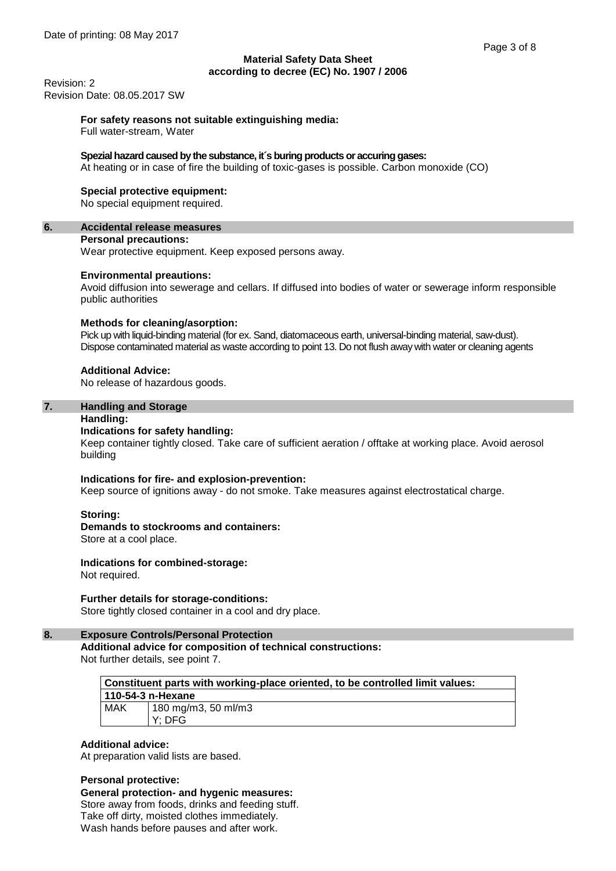Revision: 2 Revision Date: 08.05.2017 SW

# **For safety reasons not suitable extinguishing media:**

Full water-stream, Water

## **Spezial hazard caused by the substance, it´s buring products or accuring gases:**

At heating or in case of fire the building of toxic-gases is possible. Carbon monoxide (CO)

#### **Special protective equipment:**

No special equipment required.

#### **6. Accidental release measures**

#### **Personal precautions:**

Wear protective equipment. Keep exposed persons away.

#### **Environmental preautions:**

Avoid diffusion into sewerage and cellars. If diffused into bodies of water or sewerage inform responsible public authorities

## **Methods for cleaning/asorption:**

Pick up with liquid-binding material (for ex. Sand, diatomaceous earth, universal-binding material, saw-dust). Dispose contaminated material as waste according to point 13. Do not flush away with water or cleaning agents

## **Additional Advice:**

No release of hazardous goods.

#### **7. Handling and Storage**

#### **Handling:**

## **Indications for safety handling:**

Keep container tightly closed. Take care of sufficient aeration / offtake at working place. Avoid aerosol building

#### **Indications for fire- and explosion-prevention:**

Keep source of ignitions away - do not smoke. Take measures against electrostatical charge.

#### **Storing:**

# **Demands to stockrooms and containers:**

Store at a cool place.

# **Indications for combined-storage:**

Not required.

# **Further details for storage-conditions:**

Store tightly closed container in a cool and dry place.

## **8. Exposure Controls/Personal Protection**

**Additional advice for composition of technical constructions:** Not further details, see point 7.

| Constituent parts with working-place oriented, to be controlled limit values: |                     |  |
|-------------------------------------------------------------------------------|---------------------|--|
| 110-54-3 n-Hexane                                                             |                     |  |
| <b>MAK</b>                                                                    | 180 mg/m3, 50 ml/m3 |  |
|                                                                               | I Y: DFG            |  |

#### **Additional advice:**

At preparation valid lists are based.

#### **Personal protective:**

**General protection- and hygenic measures:** Store away from foods, drinks and feeding stuff. Take off dirty, moisted clothes immediately. Wash hands before pauses and after work.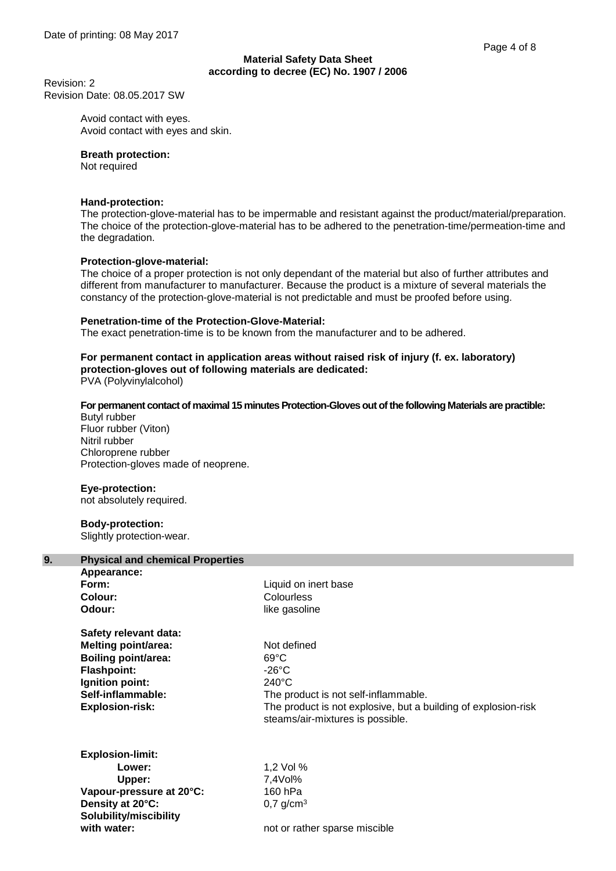Revision: 2 Revision Date: 08.05.2017 SW

> Avoid contact with eyes. Avoid contact with eyes and skin.

## **Breath protection:**

Not required

# **Hand-protection:**

The protection-glove-material has to be impermable and resistant against the product/material/preparation. The choice of the protection-glove-material has to be adhered to the penetration-time/permeation-time and the degradation.

# **Protection-glove-material:**

The choice of a proper protection is not only dependant of the material but also of further attributes and different from manufacturer to manufacturer. Because the product is a mixture of several materials the constancy of the protection-glove-material is not predictable and must be proofed before using.

## **Penetration-time of the Protection-Glove-Material:**

The exact penetration-time is to be known from the manufacturer and to be adhered.

# **For permanent contact in application areas without raised risk of injury (f. ex. laboratory) protection-gloves out of following materials are dedicated:**

PVA (Polyvinylalcohol)

# **For permanent contact of maximal 15 minutes Protection-Gloves out of the following Materials are practible:**

Butyl rubber Fluor rubber (Viton) Nitril rubber Chloroprene rubber Protection-gloves made of neoprene.

# **Eye-protection:**

not absolutely required.

# **Body-protection:**

Slightly protection-wear.

| 9. | <b>Physical and chemical Properties</b>                                                                                                                                   |                                                                                                                                                                                                         |  |
|----|---------------------------------------------------------------------------------------------------------------------------------------------------------------------------|---------------------------------------------------------------------------------------------------------------------------------------------------------------------------------------------------------|--|
|    | Appearance:<br>Form:<br>Colour:<br>Odour:                                                                                                                                 | Liquid on inert base<br>Colourless<br>like gasoline                                                                                                                                                     |  |
|    | Safety relevant data:<br><b>Melting point/area:</b><br><b>Boiling point/area:</b><br><b>Flashpoint:</b><br>Ignition point:<br>Self-inflammable:<br><b>Explosion-risk:</b> | Not defined<br>$69^{\circ}$ C<br>-26°C<br>$240^{\circ}$ C<br>The product is not self-inflammable.<br>The product is not explosive, but a building of explosion-risk<br>steams/air-mixtures is possible. |  |
|    | <b>Explosion-limit:</b><br>Lower:<br>Upper:<br>Vapour-pressure at 20°C:<br>Density at 20°C:<br>Solubility/miscibility<br>with water:                                      | 1,2 Vol %<br>7,4Vol%<br>160 hPa<br>$0.7$ g/cm <sup>3</sup><br>not or rather sparse miscible                                                                                                             |  |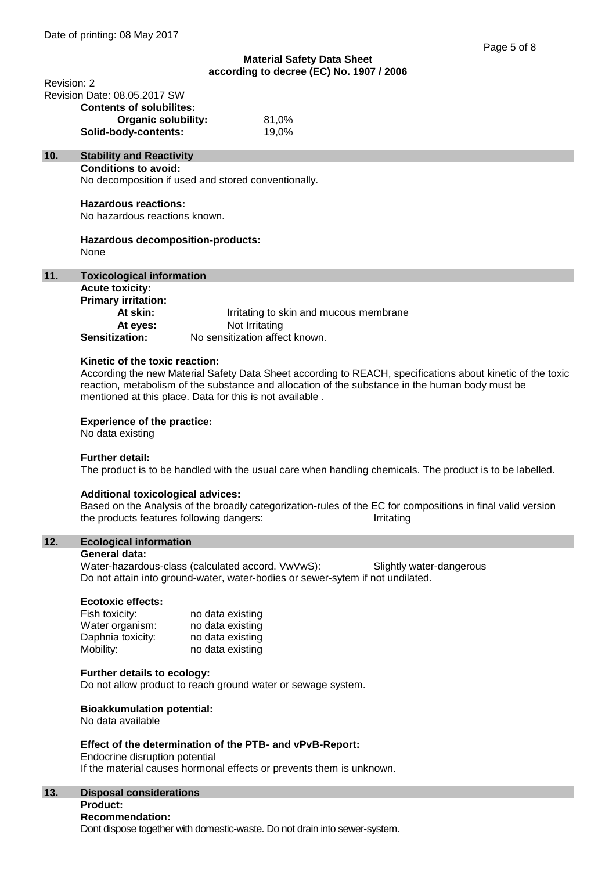| Revision: 2 |                                                                                                                                                                 |
|-------------|-----------------------------------------------------------------------------------------------------------------------------------------------------------------|
|             | Revision Date: 08.05.2017 SW                                                                                                                                    |
|             | <b>Contents of solubilites:</b>                                                                                                                                 |
|             | <b>Organic solubility:</b><br>81,0%                                                                                                                             |
|             | Solid-body-contents:<br>19,0%                                                                                                                                   |
| 10.         | <b>Stability and Reactivity</b>                                                                                                                                 |
|             | <b>Conditions to avoid:</b>                                                                                                                                     |
|             | No decomposition if used and stored conventionally.                                                                                                             |
|             |                                                                                                                                                                 |
|             | <b>Hazardous reactions:</b>                                                                                                                                     |
|             | No hazardous reactions known.                                                                                                                                   |
|             |                                                                                                                                                                 |
|             | Hazardous decomposition-products:<br>None                                                                                                                       |
|             |                                                                                                                                                                 |
| 11.         | <b>Toxicological information</b>                                                                                                                                |
|             | <b>Acute toxicity:</b>                                                                                                                                          |
|             | <b>Primary irritation:</b>                                                                                                                                      |
|             | At skin:<br>Irritating to skin and mucous membrane                                                                                                              |
|             | At eyes:<br>Not Irritating                                                                                                                                      |
|             | No sensitization affect known.<br><b>Sensitization:</b>                                                                                                         |
|             |                                                                                                                                                                 |
|             | Kinetic of the toxic reaction:                                                                                                                                  |
|             | According the new Material Safety Data Sheet according to REACH, specifications about kinetic of the toxic                                                      |
|             | reaction, metabolism of the substance and allocation of the substance in the human body must be                                                                 |
|             | mentioned at this place. Data for this is not available.                                                                                                        |
|             |                                                                                                                                                                 |
|             | <b>Experience of the practice:</b>                                                                                                                              |
|             | No data existing                                                                                                                                                |
|             | <b>Further detail:</b>                                                                                                                                          |
|             | The product is to be handled with the usual care when handling chemicals. The product is to be labelled.                                                        |
|             |                                                                                                                                                                 |
|             | <b>Additional toxicological advices:</b>                                                                                                                        |
|             | Based on the Analysis of the broadly categorization-rules of the EC for compositions in final valid version                                                     |
|             | the products features following dangers:<br>Irritating                                                                                                          |
|             |                                                                                                                                                                 |
| 12.         | <b>Ecological information</b>                                                                                                                                   |
|             | <b>General data:</b>                                                                                                                                            |
|             | Water-hazardous-class (calculated accord. VwVwS):<br>Slightly water-dangerous<br>Do not attain into ground-water, water-bodies or sewer-sytem if not undilated. |
|             |                                                                                                                                                                 |
|             | <b>Ecotoxic effects:</b>                                                                                                                                        |
|             | Fish toxicity:<br>no data existing                                                                                                                              |
|             | Water organism:<br>no data existing                                                                                                                             |
|             | Daphnia toxicity:<br>no data existing                                                                                                                           |
|             | Mobility:<br>no data existing                                                                                                                                   |
|             |                                                                                                                                                                 |
|             | Further details to ecology:                                                                                                                                     |
|             | Do not allow product to reach ground water or sewage system.                                                                                                    |
|             |                                                                                                                                                                 |
|             | <b>Bioakkumulation potential:</b>                                                                                                                               |
|             | No data available                                                                                                                                               |
|             | Effect of the determination of the PTB- and vPvB-Report:                                                                                                        |
|             | Endocrine disruption potential                                                                                                                                  |
|             | If the material causes hormonal effects or prevents them is unknown.                                                                                            |
|             |                                                                                                                                                                 |
|             |                                                                                                                                                                 |

#### **13. Disposal considerations Product:**

# **Recommendation:**

Dont dispose together with domestic-waste. Do not drain into sewer-system.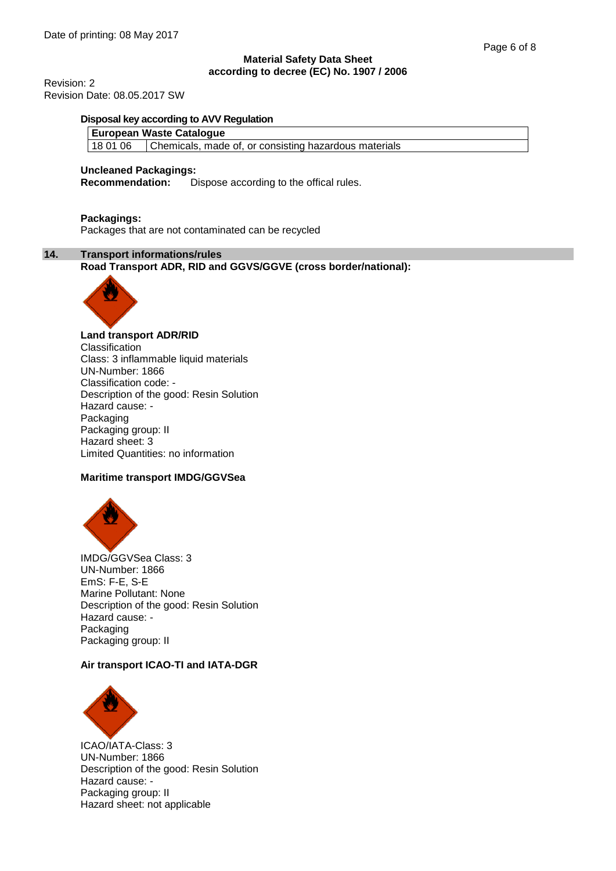Revision: 2 Revision Date: 08.05.2017 SW

#### **Disposal key according to AVV Regulation**

#### **European Waste Catalogue**

18 01 06 Chemicals, made of, or consisting hazardous materials

#### **Uncleaned Packagings:**

**Recommendation:** Dispose according to the offical rules.

## **Packagings:**

Packages that are not contaminated can be recycled

# **14. Transport informations/rules**

**Road Transport ADR, RID and GGVS/GGVE (cross border/national):**



## **Land transport ADR/RID**

**Classification** Class: 3 inflammable liquid materials UN-Number: 1866 Classification code: - Description of the good: Resin Solution Hazard cause: - Packaging Packaging group: II Hazard sheet: 3 Limited Quantities: no information

# **Maritime transport IMDG/GGVSea**



IMDG/GGVSea Class: 3 UN-Number: 1866 EmS: F-E, S-E Marine Pollutant: None Description of the good: Resin Solution Hazard cause: - Packaging Packaging group: II

# **Air transport ICAO-TI and IATA-DGR**



ICAO/IATA-Class: 3 UN-Number: 1866 Description of the good: Resin Solution Hazard cause: - Packaging group: II Hazard sheet: not applicable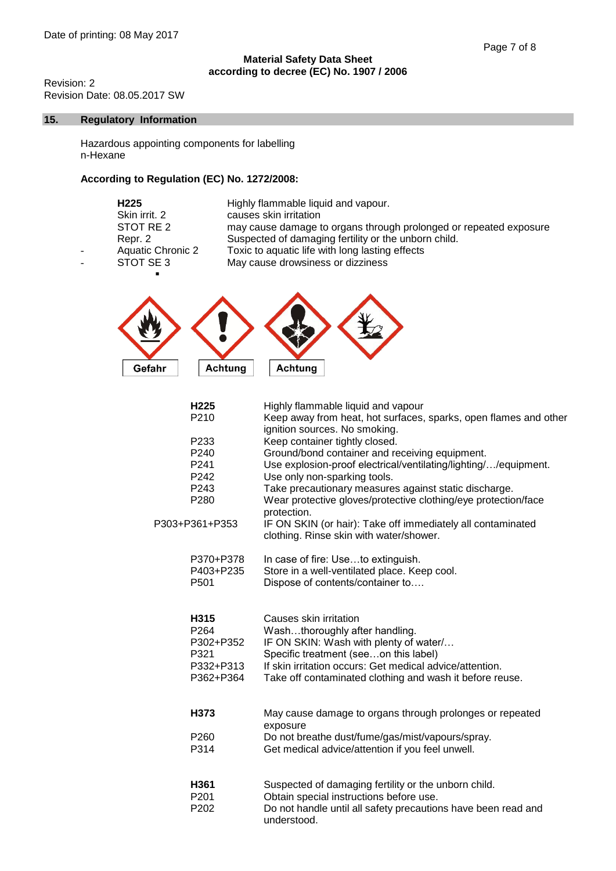Revision: 2 Revision Date: 08.05.2017 SW

# **15. Regulatory Information**

Hazardous appointing components for labelling n-Hexane

# **According to Regulation (EC) No. 1272/2008:**

| H <sub>225</sub>         | Highly flammable liquid and vapour.                               |
|--------------------------|-------------------------------------------------------------------|
| Skin irrit. 2            | causes skin irritation                                            |
| STOT RE 2                | may cause damage to organs through prolonged or repeated exposure |
| Repr. 2                  | Suspected of damaging fertility or the unborn child.              |
| <b>Aquatic Chronic 2</b> | Toxic to aquatic life with long lasting effects                   |
| STOT SE3                 | May cause drowsiness or dizziness                                 |
|                          |                                                                   |



| H <sub>225</sub><br>P210 | Highly flammable liquid and vapour<br>Keep away from heat, hot surfaces, sparks, open flames and other<br>ignition sources. No smoking. |
|--------------------------|-----------------------------------------------------------------------------------------------------------------------------------------|
| P <sub>233</sub>         | Keep container tightly closed.                                                                                                          |
| P240                     | Ground/bond container and receiving equipment.                                                                                          |
| P241                     | Use explosion-proof electrical/ventilating/lighting//equipment.                                                                         |
| P242                     | Use only non-sparking tools.                                                                                                            |
| P243                     | Take precautionary measures against static discharge.                                                                                   |
| P280                     | Wear protective gloves/protective clothing/eye protection/face<br>protection.                                                           |
| P303+P361+P353           | IF ON SKIN (or hair): Take off immediately all contaminated<br>clothing. Rinse skin with water/shower.                                  |
| P370+P378                | In case of fire: Useto extinguish.                                                                                                      |
| P403+P235                | Store in a well-ventilated place. Keep cool.                                                                                            |
| P <sub>501</sub>         | Dispose of contents/container to                                                                                                        |
| H315                     | Causes skin irritation                                                                                                                  |
| P264                     | Washthoroughly after handling.                                                                                                          |
| P302+P352                | IF ON SKIN: Wash with plenty of water/                                                                                                  |
| P321                     | Specific treatment (seeon this label)                                                                                                   |
| P332+P313                | If skin irritation occurs: Get medical advice/attention.                                                                                |
| P362+P364                | Take off contaminated clothing and wash it before reuse.                                                                                |
| H373                     | May cause damage to organs through prolonges or repeated                                                                                |
|                          | exposure                                                                                                                                |
| P <sub>260</sub>         | Do not breathe dust/fume/gas/mist/vapours/spray.                                                                                        |
| P314                     | Get medical advice/attention if you feel unwell.                                                                                        |
| H361                     | Suspected of damaging fertility or the unborn child.                                                                                    |
| P <sub>201</sub>         | Obtain special instructions before use.                                                                                                 |
| P202                     | Do not handle until all safety precautions have been read and<br>understood.                                                            |